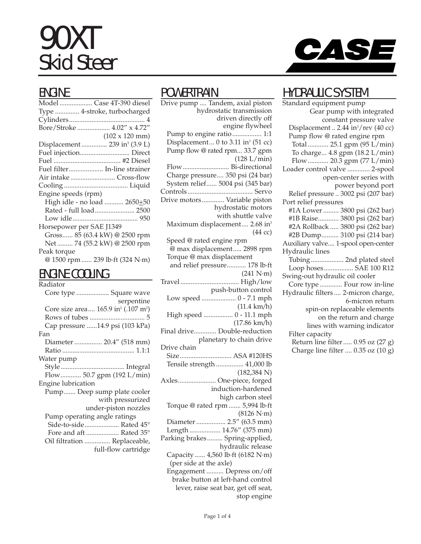# 90XT Skid Steer



#### ENGINE

| Model  Case 4T-390 diesel                 |
|-------------------------------------------|
| Type  4-stroke, turbocharged              |
|                                           |
| Bore/Stroke  4.02" x 4.72"                |
| $(102 \times 120 \text{ mm})$             |
| Displacement  239 in <sup>3</sup> (3.9 L) |
| Fuel injection Direct                     |
|                                           |
| Fuel filter In-line strainer              |
| Air intake Cross-flow                     |
|                                           |
| Engine speeds (rpm)                       |
| High idle - no load  2650+50              |
| Rated - full load 2500                    |
|                                           |
| Horsepower per SAE J1349                  |
| Gross 85 (63.4 kW) @ 2500 rpm             |
| Net  74 (55.2 kW) @ 2500 rpm              |
| Peak torque                               |
| @ 1500 rpm  239 lb·ft (324 N·m)           |
|                                           |

#### ENGINE COOLING

| Radiator                                                    |
|-------------------------------------------------------------|
| Core type  Square wave                                      |
| serpentine                                                  |
| Core size area 165.9 in <sup>2</sup> (.107 m <sup>2</sup> ) |
|                                                             |
| Cap pressure  14.9 psi (103 kPa)                            |
| Fan                                                         |
| Diameter  20.4" (518 mm)                                    |
|                                                             |
| Water pump                                                  |
|                                                             |
| Flow 50.7 gpm (192 L/min)                                   |
| Engine lubrication                                          |
| Pump Deep sump plate cooler                                 |
| with pressurized                                            |
| under-piston nozzles                                        |
| Pump operating angle ratings                                |
| Side-to-side Rated 45°                                      |
| Fore and aft  Rated 35°                                     |
| Oil filtration  Replaceable,                                |
| full-flow cartridge                                         |
|                                                             |

#### POWERTRAIN

Drive pump .... Tandem, axial piston hydrostatic transmission driven directly off engine flywheel Pump to engine ratio................. 1:1 Displacement... 0 to 3.11 in<sup>3</sup> (51 cc) Pump flow @ rated rpm... 33.7 gpm (128 L/min) Flow........................... Bi-directional Charge pressure.... 350 psi (24 bar) System relief...... 5004 psi (345 bar) Controls...................................... Servo Drive motors............. Variable piston hydrostatic motors with shuttle valve Maximum displacement.... 2.68 in<sup>3</sup> (44 cc) Speed @ rated engine rpm @ max displacement..... 2898 rpm Torque @ max displacement and relief pressure........... 178 lb·ft  $(241 N·m)$ Travel .................................. High/low push-button control Low speed .................... 0 - 7.1 mph (11.4 km/h) High speed ................. 0 - 11.1 mph (17.86 km/h) Final drive............. Double-reduction planetary to chain drive Drive chain Size.............................. ASA #120HS Tensile strength ................ 41,000 lb (182,384 N) Axles...................... One-piece, forged induction-hardened high carbon steel Torque @ rated rpm ....... 5,994 lb·ft (8126 N·m) Diameter ................. 2.5" (63.5 mm) Length .................. 14.76" (375 mm) Parking brakes......... Spring-applied, hydraulic release Capacity ...... 4,560 lb·ft (6182 N·m) (per side at the axle) Engagement .......... Depress on/off brake button at left-hand control lever, raise seat bar, get off seat, stop engine

#### HYDRAULIC SYSTEM

Standard equipment pump Gear pump with integrated constant pressure valve Displacement .. 2.44 in<sup>3</sup>/rev (40 cc) Pump flow @ rated engine rpm Total ............ 25.1 gpm (95 L/min) To charge... 4.8 gpm (18.2 L/min) Flow............ 20.3 gpm (77 L/min) Loader control valve ............. 2-spool open-center series with power beyond port Relief pressure .. 3002 psi (207 bar) Port relief pressures #1A Lower ......... 3800 psi (262 bar) #1B Raise............ 3800 psi (262 bar) #2A Rollback ..... 3800 psi (262 bar) #2B Dump.......... 3100 psi (214 bar) Auxiliary valve.... 1-spool open-center Hydraulic lines Tubing................... 2nd plated steel Loop hoses................. SAE 100 R12 Swing-out hydraulic oil cooler Core type ............. Four row in-line Hydraulic filters .... 2-micron charge, 6-micron return spin-on replaceable elements on the return and charge lines with warning indicator Filter capacity Return line filter..... 0.95 oz (27 g) Charge line filter .... 0.35 oz (10 g)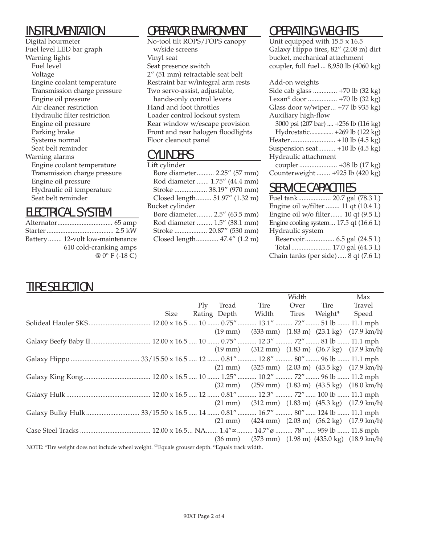#### INSTRUMENTATION

Digital hourmeter Fuel level LED bar graph Warning lights Fuel level Voltage Engine coolant temperature Transmission charge pressure Engine oil pressure Air cleaner restriction Hydraulic filter restriction Engine oil pressure Parking brake Systems normal Seat belt reminder Warning alarms Engine coolant temperature Transmission charge pressure Engine oil pressure Hydraulic oil temperature Seat belt reminder

#### ELECTRICAL SYSTEM

| Battery 12-volt low-maintenance |
|---------------------------------|
| 610 cold-cranking amps          |
| $@0°$ F (-18 C)                 |
|                                 |

## OPERATOR ENVIRONMENT

No-tool tilt ROPS/FOPS canopy w/side screens Vinyl seat Seat presence switch 2" (51 mm) retractable seat belt Restraint bar w/integral arm rests Two servo-assist, adjustable, hands-only control levers Hand and foot throttles Loader control lockout system Rear window w/escape provision Front and rear halogen floodlights

#### CYLINDERS

Floor cleanout panel

| Lift cylinder                 |
|-------------------------------|
| Bore diameter 2.25" (57 mm)   |
| Rod diameter  1.75" (44.4 mm) |
| Stroke  38.19" (970 mm)       |
| Closed length 51.97" (1.32 m) |
| Bucket cylinder               |
| Bore diameter 2.5" (63.5 mm)  |
| Rod diameter  1.5" (38.1 mm)  |
| Stroke  20.87" (530 mm)       |
| Closed length 47.4" (1.2 m)   |
|                               |

## OPERATING WEIGHTS

Unit equipped with 15.5 x 16.5 Galaxy Hippo tires, 82" (2.08 m) dirt bucket, mechanical attachment coupler, full fuel ... 8,950 lb (4060 kg)

#### Add-on weights

| Side cab glass  +70 lb (32 kg)          |  |
|-----------------------------------------|--|
| Lexan <sup>®</sup> door  +70 lb (32 kg) |  |
| Glass door w/wiper +77 lb 935 kg)       |  |
| Auxiliary high-flow                     |  |
| $2000 + 10071 + 0 = 21.41$              |  |

| 3000 psi (207 bar)  +256 lb (116 kg) |  |
|--------------------------------------|--|
| Hydrostatic +269 lb (122 kg)         |  |
|                                      |  |
| Suspension seat +10 lb (4.5 kg)      |  |
| Hydraulic attachment                 |  |
|                                      |  |
| Counterweight  +925 lb (420 kg)      |  |
|                                      |  |

#### SERVICE CAPACITIES

| Engine oil w/filter  11 qt (10.4 L)                                              |                |
|----------------------------------------------------------------------------------|----------------|
| Engine oil $w/o$ filter 10 qt $(9.5 L)$                                          |                |
| Engine cooling system $17.5$ qt $(16.6 \text{ L})$                               |                |
| Hydraulic system                                                                 |                |
|                                                                                  |                |
| $\mathbf{T}$ and $\mathbf{I}$ and $\mathbf{I}$ and $\mathbf{I}$ and $\mathbf{I}$ | $170 - 1/(19)$ |

Total ....................... 17.0 gal (64.3 L) Chain tanks (per side)..... 8 qt (7.6 L)

## TIRE SELECTION

|                                                                                                                       |  |           |                                       | Width |      | Max                                                                                                |
|-----------------------------------------------------------------------------------------------------------------------|--|-----------|---------------------------------------|-------|------|----------------------------------------------------------------------------------------------------|
|                                                                                                                       |  | Ply Tread | Tire                                  | Over  | Tire | Travel                                                                                             |
|                                                                                                                       |  |           | Size Rating Depth Width Tires Weight* |       |      | Speed                                                                                              |
|                                                                                                                       |  |           |                                       |       |      |                                                                                                    |
|                                                                                                                       |  |           |                                       |       |      | $(19 \text{ mm})$ $(333 \text{ mm})$ $(1.83 \text{ m})$ $(23.1 \text{ kg})$ $(17.9 \text{ km/h})$  |
|                                                                                                                       |  |           |                                       |       |      |                                                                                                    |
|                                                                                                                       |  |           |                                       |       |      | $(19 \text{ mm})$ $(312 \text{ mm})$ $(1.83 \text{ m})$ $(36.7 \text{ kg})$ $(17.9 \text{ km/h})$  |
|                                                                                                                       |  |           |                                       |       |      |                                                                                                    |
|                                                                                                                       |  |           |                                       |       |      | $(21 \text{ mm})$ $(325 \text{ mm})$ $(2.03 \text{ m})$ $(43.5 \text{ kg})$ $(17.9 \text{ km/h})$  |
|                                                                                                                       |  |           |                                       |       |      |                                                                                                    |
|                                                                                                                       |  |           |                                       |       |      | $(32 \text{ mm})$ $(259 \text{ mm})$ $(1.83 \text{ m})$ $(43.5 \text{ kg})$ $(18.0 \text{ km/h})$  |
|                                                                                                                       |  |           |                                       |       |      |                                                                                                    |
|                                                                                                                       |  |           |                                       |       |      | $(21 \text{ mm})$ $(312 \text{ mm})$ $(1.83 \text{ m})$ $(45.3 \text{ kg})$ $(17.9 \text{ km/h})$  |
|                                                                                                                       |  |           |                                       |       |      |                                                                                                    |
|                                                                                                                       |  |           |                                       |       |      | $(21 \text{ mm})$ $(424 \text{ mm})$ $(2.03 \text{ m})$ $(56.2 \text{ kg})$ $(17.9 \text{ km/h})$  |
|                                                                                                                       |  |           |                                       |       |      |                                                                                                    |
|                                                                                                                       |  |           |                                       |       |      | $(36 \text{ mm})$ $(373 \text{ mm})$ $(1.98 \text{ m})$ $(435.0 \text{ kg})$ $(18.9 \text{ km/h})$ |
| NOTE: *Tire weight does not include wheel weight. <sup>∞</sup> Equals grouser depth. <sup>©</sup> Equals track width. |  |           |                                       |       |      |                                                                                                    |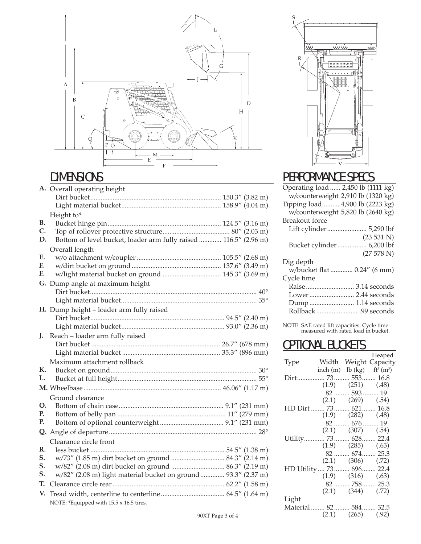

## DIMENSIONS

|    | A. Overall operating height                                      |
|----|------------------------------------------------------------------|
|    |                                                                  |
|    |                                                                  |
|    | Height to*                                                       |
| В. |                                                                  |
| C. |                                                                  |
| D. | Bottom of level bucket, loader arm fully raised  116.5" (2.96 m) |
|    | Overall length                                                   |
| E. |                                                                  |
| F. |                                                                  |
| F. | w/light material bucket on ground  145.3" (3.69 m)               |
|    | G. Dump angle at maximum height                                  |
|    |                                                                  |
|    |                                                                  |
|    | H. Dump height - loader arm fully raised                         |
|    |                                                                  |
|    |                                                                  |
| J. | Reach - loader arm fully raised                                  |
|    |                                                                  |
|    |                                                                  |
|    | Maximum attachment rollback                                      |
| К. |                                                                  |
| L. |                                                                  |
|    |                                                                  |
|    | Ground clearance                                                 |
| Ο. |                                                                  |
| Р. |                                                                  |
| Р. |                                                                  |
|    |                                                                  |
|    | Clearance circle front                                           |
| R. |                                                                  |
| S. | w/73" (1.85 m) dirt bucket on ground  84.3" (2.14 m)             |
| S. | w/82" (2.08 m) dirt bucket on ground  86.3" (2.19 m)             |
| S. | w/82" (2.08 m) light material bucket on ground  93.3" (2.37 m)   |
| T. |                                                                  |
| V. |                                                                  |
|    | NOTE: *Equipped with 15.5 x 16.5 tires.                          |



## PERFORMANCE SPECS

| Operating load  2,450 lb (1111 kg) |                                    |
|------------------------------------|------------------------------------|
|                                    | w/counterweight 2,910 lb (1320 kg) |
| Tipping load 4,900 lb (2223 kg)    |                                    |
|                                    | w/counterweight 5,820 lb (2640 kg) |
| Breakout force                     |                                    |
|                                    | Lift cylinder 5,290 lbf            |
|                                    | (23 531 N)                         |
|                                    | Bucket cylinder  6,200 lbf         |
|                                    | (27578 N)                          |
| Dig depth                          |                                    |
|                                    | w/bucket flat  0.24" (6 mm)        |
| Cycle time                         |                                    |
|                                    | Raise  3.14 seconds                |
|                                    | Lower 2.44 seconds                 |
|                                    | Dump  1.14 seconds                 |
|                                    |                                    |
|                                    |                                    |

NOTE: SAE rated lift capacities. Cycle time measured with rated load in bucket.

#### **OPTIONAL BUCKETS**

|                           |                                           |                          | Heaped                |
|---------------------------|-------------------------------------------|--------------------------|-----------------------|
| Type                      |                                           |                          | Width Weight Capacity |
|                           | inch (m) lb (kg) $ft^3$ (m <sup>3</sup> ) |                          |                       |
| Dirt 73 553 16.8          |                                           |                          |                       |
|                           | $(1.9)$ $(251)$ $(0.48)$                  |                          |                       |
|                           |                                           | $82$ 593  19             |                       |
|                           |                                           | $(2.1)$ $(269)$ $(.54)$  |                       |
| HD Dirt  73 621 16.8      |                                           |                          |                       |
|                           | $(1.9)$ $(282)$ $(0.48)$                  |                          |                       |
|                           |                                           | 82  676  19              |                       |
|                           |                                           | $(2.1)$ $(307)$ $(.54)$  |                       |
| Utility 73 628 22.4       |                                           |                          |                       |
|                           |                                           | $(1.9)$ $(285)$ $(.63)$  |                       |
|                           |                                           | 82  674  25.3            |                       |
|                           |                                           | $(2.1)$ $(306)$ $(0.72)$ |                       |
| HD Utility  73  696  22.4 |                                           |                          |                       |
|                           |                                           | $(1.9)$ $(316)$ $(.63)$  |                       |
|                           |                                           | 82  758  25.3            |                       |
|                           |                                           | $(2.1)$ $(344)$ $(0.72)$ |                       |
| Light                     |                                           |                          |                       |
| Material  82 584 32.5     |                                           |                          |                       |
|                           |                                           | $(2.1)$ $(265)$ $(.92)$  |                       |
|                           |                                           |                          |                       |